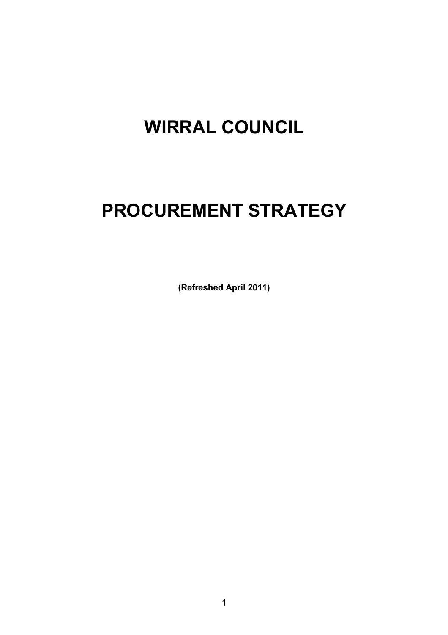# **WIRRAL COUNCIL**

# **PROCUREMENT STRATEGY**

**(Refreshed April 2011)**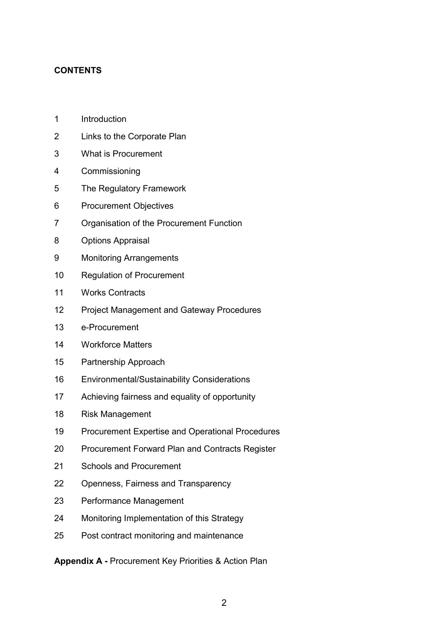# **CONTENTS**

- 1 Introduction
- 2 Links to the Corporate Plan
- 3 What is Procurement
- 4 Commissioning
- 5 The Regulatory Framework
- 6 Procurement Objectives
- 7 Organisation of the Procurement Function
- 8 Options Appraisal
- 9 Monitoring Arrangements
- 10 Regulation of Procurement
- 11 Works Contracts
- 12 Project Management and Gateway Procedures
- 13 e-Procurement
- 14 Workforce Matters
- 15 Partnership Approach
- 16 Environmental/Sustainability Considerations
- 17 Achieving fairness and equality of opportunity
- 18 Risk Management
- 19 Procurement Expertise and Operational Procedures
- 20 Procurement Forward Plan and Contracts Register
- 21 Schools and Procurement
- 22 Openness, Fairness and Transparency
- 23 Performance Management
- 24 Monitoring Implementation of this Strategy
- 25 Post contract monitoring and maintenance

**Appendix A -** Procurement Key Priorities & Action Plan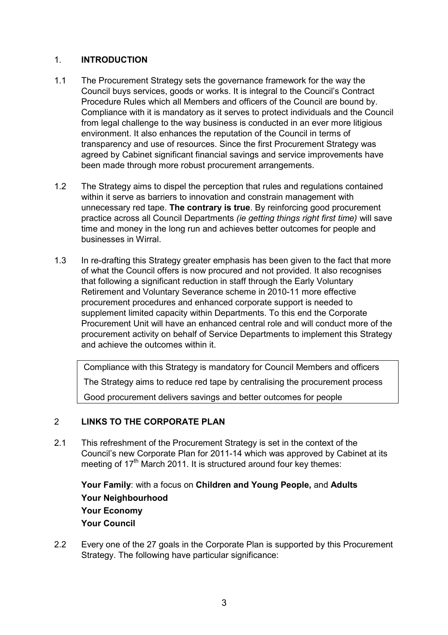# 1. **INTRODUCTION**

- 1.1 The Procurement Strategy sets the governance framework for the way the Council buys services, goods or works. It is integral to the Council's Contract Procedure Rules which all Members and officers of the Council are bound by. Compliance with it is mandatory as it serves to protect individuals and the Council from legal challenge to the way business is conducted in an ever more litigious environment. It also enhances the reputation of the Council in terms of transparency and use of resources. Since the first Procurement Strategy was agreed by Cabinet significant financial savings and service improvements have been made through more robust procurement arrangements.
- 1.2 The Strategy aims to dispel the perception that rules and regulations contained within it serve as barriers to innovation and constrain management with unnecessary red tape. **The contrary is true**. By reinforcing good procurement practice across all Council Departments *(ie getting things right first time)* will save time and money in the long run and achieves better outcomes for people and businesses in Wirral.
- 1.3 In re-drafting this Strategy greater emphasis has been given to the fact that more of what the Council offers is now procured and not provided. It also recognises that following a significant reduction in staff through the Early Voluntary Retirement and Voluntary Severance scheme in 2010-11 more effective procurement procedures and enhanced corporate support is needed to supplement limited capacity within Departments. To this end the Corporate Procurement Unit will have an enhanced central role and will conduct more of the procurement activity on behalf of Service Departments to implement this Strategy and achieve the outcomes within it.

Compliance with this Strategy is mandatory for Council Members and officers The Strategy aims to reduce red tape by centralising the procurement process Good procurement delivers savings and better outcomes for people

# 2 **LINKS TO THE CORPORATE PLAN**

2.1 This refreshment of the Procurement Strategy is set in the context of the Council's new Corporate Plan for 2011-14 which was approved by Cabinet at its meeting of 17<sup>th</sup> March 2011. It is structured around four key themes:

**Your Family**: with a focus on **Children and Young People,** and **Adults Your Neighbourhood Your Economy Your Council**

2.2 Every one of the 27 goals in the Corporate Plan is supported by this Procurement Strategy. The following have particular significance: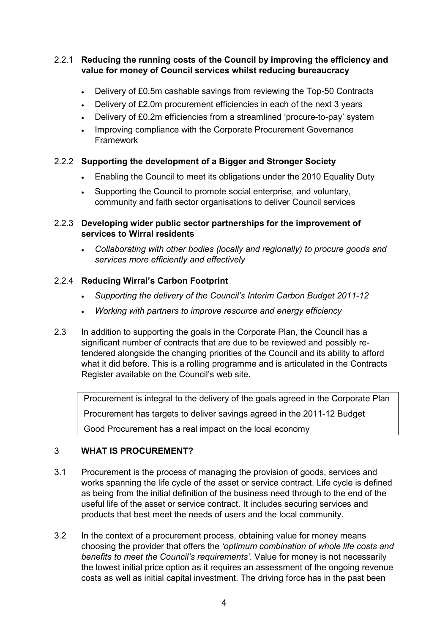# 2.2.1 **Reducing the running costs of the Council by improving the efficiency and value for money of Council services whilst reducing bureaucracy**

- Delivery of £0.5m cashable savings from reviewing the Top-50 Contracts
- Delivery of £2.0m procurement efficiencies in each of the next 3 years
- Delivery of £0.2m efficiencies from a streamlined 'procure-to-pay' system
- Improving compliance with the Corporate Procurement Governance Framework

# 2.2.2 **Supporting the development of a Bigger and Stronger Society**

- Enabling the Council to meet its obligations under the 2010 Equality Duty
- Supporting the Council to promote social enterprise, and voluntary, community and faith sector organisations to deliver Council services

### 2.2.3 **Developing wider public sector partnerships for the improvement of services to Wirral residents**

• *Collaborating with other bodies (locally and regionally) to procure goods and services more efficiently and effectively*

# 2.2.4 **Reducing Wirral's Carbon Footprint**

- *Supporting the delivery of the Council's Interim Carbon Budget 2011-12*
- *Working with partners to improve resource and energy efficiency*
- 2.3 In addition to supporting the goals in the Corporate Plan, the Council has a significant number of contracts that are due to be reviewed and possibly retendered alongside the changing priorities of the Council and its ability to afford what it did before. This is a rolling programme and is articulated in the Contracts Register available on the Council's web site.

 Procurement is integral to the delivery of the goals agreed in the Corporate Plan Procurement has targets to deliver savings agreed in the 2011-12 Budget Good Procurement has a real impact on the local economy

#### 3 **WHAT IS PROCUREMENT?**

- 3.1 Procurement is the process of managing the provision of goods, services and works spanning the life cycle of the asset or service contract. Life cycle is defined as being from the initial definition of the business need through to the end of the useful life of the asset or service contract. It includes securing services and products that best meet the needs of users and the local community.
- 3.2 In the context of a procurement process, obtaining value for money means choosing the provider that offers the *'optimum combination of whole life costs and benefits to meet the Council's requirements'*. Value for money is not necessarily the lowest initial price option as it requires an assessment of the ongoing revenue costs as well as initial capital investment. The driving force has in the past been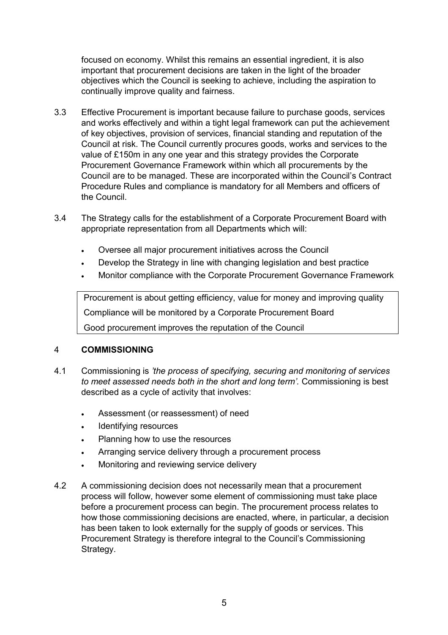focused on economy. Whilst this remains an essential ingredient, it is also important that procurement decisions are taken in the light of the broader objectives which the Council is seeking to achieve, including the aspiration to continually improve quality and fairness.

- 3.3 Effective Procurement is important because failure to purchase goods, services and works effectively and within a tight legal framework can put the achievement of key objectives, provision of services, financial standing and reputation of the Council at risk. The Council currently procures goods, works and services to the value of £150m in any one year and this strategy provides the Corporate Procurement Governance Framework within which all procurements by the Council are to be managed. These are incorporated within the Council's Contract Procedure Rules and compliance is mandatory for all Members and officers of the Council.
- 3.4 The Strategy calls for the establishment of a Corporate Procurement Board with appropriate representation from all Departments which will:
	- Oversee all major procurement initiatives across the Council
	- Develop the Strategy in line with changing legislation and best practice
	- Monitor compliance with the Corporate Procurement Governance Framework

 Procurement is about getting efficiency, value for money and improving quality Compliance will be monitored by a Corporate Procurement Board Good procurement improves the reputation of the Council

#### 4 **COMMISSIONING**

- 4.1 Commissioning is *'the process of specifying, securing and monitoring of services to meet assessed needs both in the short and long term'.* Commissioning is best described as a cycle of activity that involves:
	- Assessment (or reassessment) of need
	- Identifying resources
	- Planning how to use the resources
	- Arranging service delivery through a procurement process
	- Monitoring and reviewing service delivery
- 4.2 A commissioning decision does not necessarily mean that a procurement process will follow, however some element of commissioning must take place before a procurement process can begin. The procurement process relates to how those commissioning decisions are enacted, where, in particular, a decision has been taken to look externally for the supply of goods or services. This Procurement Strategy is therefore integral to the Council's Commissioning Strategy.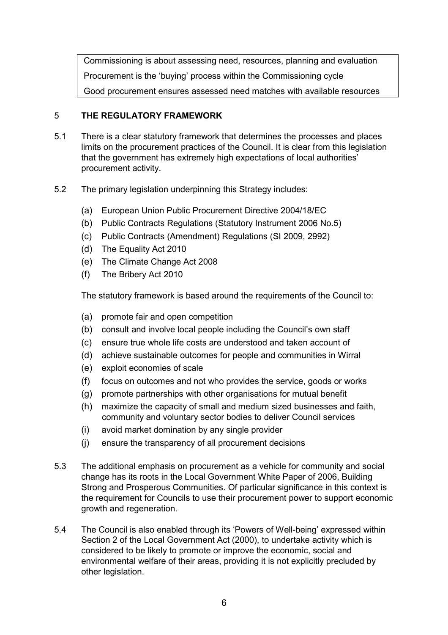Commissioning is about assessing need, resources, planning and evaluation Procurement is the 'buying' process within the Commissioning cycle Good procurement ensures assessed need matches with available resources

# 5 **THE REGULATORY FRAMEWORK**

- 5.1 There is a clear statutory framework that determines the processes and places limits on the procurement practices of the Council. It is clear from this legislation that the government has extremely high expectations of local authorities' procurement activity.
- 5.2 The primary legislation underpinning this Strategy includes:
	- (a) European Union Public Procurement Directive 2004/18/EC
	- (b) Public Contracts Regulations (Statutory Instrument 2006 No.5)
	- (c) Public Contracts (Amendment) Regulations (SI 2009, 2992)
	- (d) The Equality Act 2010
	- (e) The Climate Change Act 2008
	- (f) The Bribery Act 2010

The statutory framework is based around the requirements of the Council to:

- (a) promote fair and open competition
- (b) consult and involve local people including the Council's own staff
- (c) ensure true whole life costs are understood and taken account of
- (d) achieve sustainable outcomes for people and communities in Wirral
- (e) exploit economies of scale
- (f) focus on outcomes and not who provides the service, goods or works
- (g) promote partnerships with other organisations for mutual benefit
- (h) maximize the capacity of small and medium sized businesses and faith, community and voluntary sector bodies to deliver Council services
- (i) avoid market domination by any single provider
- (j) ensure the transparency of all procurement decisions
- 5.3 The additional emphasis on procurement as a vehicle for community and social change has its roots in the Local Government White Paper of 2006, Building Strong and Prosperous Communities. Of particular significance in this context is the requirement for Councils to use their procurement power to support economic growth and regeneration.
- 5.4 The Council is also enabled through its 'Powers of Well-being' expressed within Section 2 of the Local Government Act (2000), to undertake activity which is considered to be likely to promote or improve the economic, social and environmental welfare of their areas, providing it is not explicitly precluded by other legislation.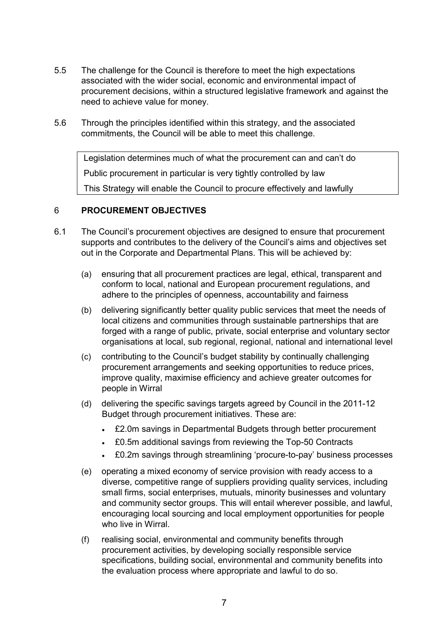- 5.5 The challenge for the Council is therefore to meet the high expectations associated with the wider social, economic and environmental impact of procurement decisions, within a structured legislative framework and against the need to achieve value for money.
- 5.6 Through the principles identified within this strategy, and the associated commitments, the Council will be able to meet this challenge.

 Legislation determines much of what the procurement can and can't do Public procurement in particular is very tightly controlled by law This Strategy will enable the Council to procure effectively and lawfully

#### 6 **PROCUREMENT OBJECTIVES**

- 6.1 The Council's procurement objectives are designed to ensure that procurement supports and contributes to the delivery of the Council's aims and objectives set out in the Corporate and Departmental Plans. This will be achieved by:
	- (a) ensuring that all procurement practices are legal, ethical, transparent and conform to local, national and European procurement regulations, and adhere to the principles of openness, accountability and fairness
	- (b) delivering significantly better quality public services that meet the needs of local citizens and communities through sustainable partnerships that are forged with a range of public, private, social enterprise and voluntary sector organisations at local, sub regional, regional, national and international level
	- (c) contributing to the Council's budget stability by continually challenging procurement arrangements and seeking opportunities to reduce prices, improve quality, maximise efficiency and achieve greater outcomes for people in Wirral
	- (d) delivering the specific savings targets agreed by Council in the 2011-12 Budget through procurement initiatives. These are:
		- £2.0m savings in Departmental Budgets through better procurement
		- £0.5m additional savings from reviewing the Top-50 Contracts
		- £0.2m savings through streamlining 'procure-to-pay' business processes
	- (e) operating a mixed economy of service provision with ready access to a diverse, competitive range of suppliers providing quality services, including small firms, social enterprises, mutuals, minority businesses and voluntary and community sector groups. This will entail wherever possible, and lawful, encouraging local sourcing and local employment opportunities for people who live in Wirral.
	- (f) realising social, environmental and community benefits through procurement activities, by developing socially responsible service specifications, building social, environmental and community benefits into the evaluation process where appropriate and lawful to do so.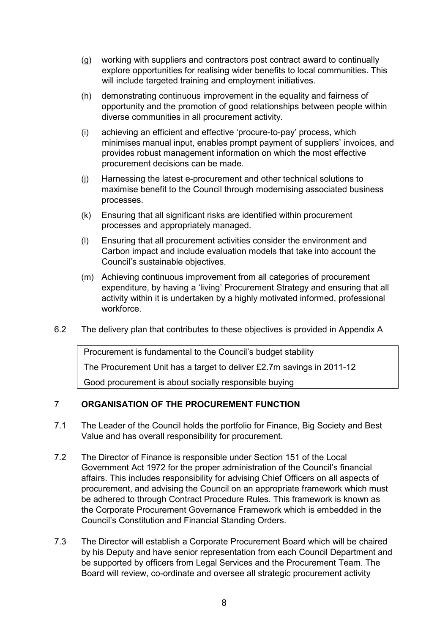- (g) working with suppliers and contractors post contract award to continually explore opportunities for realising wider benefits to local communities. This will include targeted training and employment initiatives.
- (h) demonstrating continuous improvement in the equality and fairness of opportunity and the promotion of good relationships between people within diverse communities in all procurement activity.
- (i) achieving an efficient and effective 'procure-to-pay' process, which minimises manual input, enables prompt payment of suppliers' invoices, and provides robust management information on which the most effective procurement decisions can be made.
- (j) Harnessing the latest e-procurement and other technical solutions to maximise benefit to the Council through modernising associated business processes.
- (k) Ensuring that all significant risks are identified within procurement processes and appropriately managed.
- (l) Ensuring that all procurement activities consider the environment and Carbon impact and include evaluation models that take into account the Council's sustainable objectives.
- (m) Achieving continuous improvement from all categories of procurement expenditure, by having a 'living' Procurement Strategy and ensuring that all activity within it is undertaken by a highly motivated informed, professional workforce.
- 6.2 The delivery plan that contributes to these objectives is provided in Appendix A

 Procurement is fundamental to the Council's budget stability The Procurement Unit has a target to deliver £2.7m savings in 2011-12 Good procurement is about socially responsible buying

#### 7 **ORGANISATION OF THE PROCUREMENT FUNCTION**

- 7.1 The Leader of the Council holds the portfolio for Finance, Big Society and Best Value and has overall responsibility for procurement.
- 7.2 The Director of Finance is responsible under Section 151 of the Local Government Act 1972 for the proper administration of the Council's financial affairs. This includes responsibility for advising Chief Officers on all aspects of procurement, and advising the Council on an appropriate framework which must be adhered to through Contract Procedure Rules. This framework is known as the Corporate Procurement Governance Framework which is embedded in the Council's Constitution and Financial Standing Orders.
- 7.3 The Director will establish a Corporate Procurement Board which will be chaired by his Deputy and have senior representation from each Council Department and be supported by officers from Legal Services and the Procurement Team. The Board will review, co-ordinate and oversee all strategic procurement activity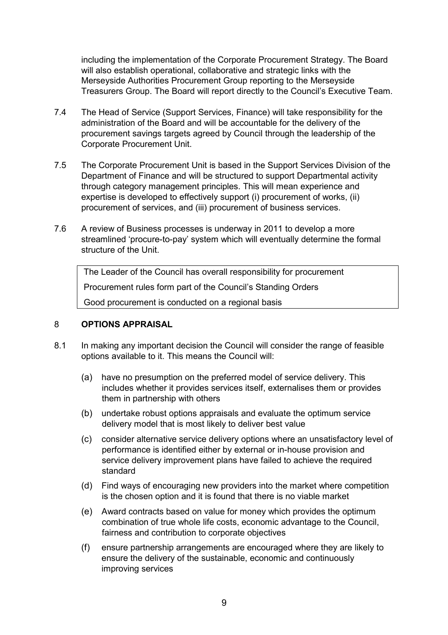including the implementation of the Corporate Procurement Strategy. The Board will also establish operational, collaborative and strategic links with the Merseyside Authorities Procurement Group reporting to the Merseyside Treasurers Group. The Board will report directly to the Council's Executive Team.

- 7.4 The Head of Service (Support Services, Finance) will take responsibility for the administration of the Board and will be accountable for the delivery of the procurement savings targets agreed by Council through the leadership of the Corporate Procurement Unit.
- 7.5 The Corporate Procurement Unit is based in the Support Services Division of the Department of Finance and will be structured to support Departmental activity through category management principles. This will mean experience and expertise is developed to effectively support (i) procurement of works, (ii) procurement of services, and (iii) procurement of business services.
- 7.6 A review of Business processes is underway in 2011 to develop a more streamlined 'procure-to-pay' system which will eventually determine the formal structure of the Unit.

 The Leader of the Council has overall responsibility for procurement Procurement rules form part of the Council's Standing Orders Good procurement is conducted on a regional basis

#### 8 **OPTIONS APPRAISAL**

- 8.1 In making any important decision the Council will consider the range of feasible options available to it. This means the Council will:
	- (a) have no presumption on the preferred model of service delivery. This includes whether it provides services itself, externalises them or provides them in partnership with others
	- (b) undertake robust options appraisals and evaluate the optimum service delivery model that is most likely to deliver best value
	- (c) consider alternative service delivery options where an unsatisfactory level of performance is identified either by external or in-house provision and service delivery improvement plans have failed to achieve the required standard
	- (d) Find ways of encouraging new providers into the market where competition is the chosen option and it is found that there is no viable market
	- (e) Award contracts based on value for money which provides the optimum combination of true whole life costs, economic advantage to the Council, fairness and contribution to corporate objectives
	- (f) ensure partnership arrangements are encouraged where they are likely to ensure the delivery of the sustainable, economic and continuously improving services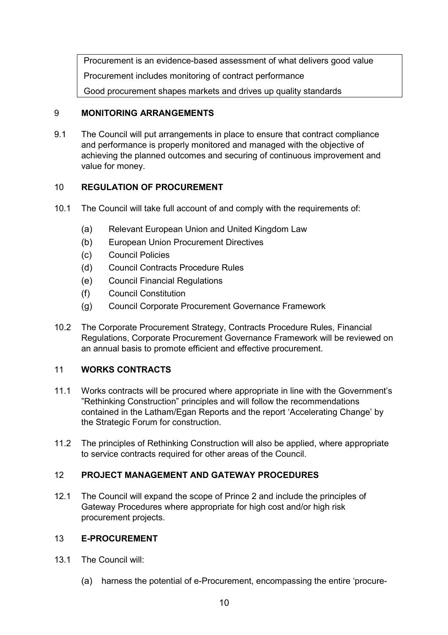Procurement is an evidence-based assessment of what delivers good value Procurement includes monitoring of contract performance Good procurement shapes markets and drives up quality standards

### 9 **MONITORING ARRANGEMENTS**

9.1 The Council will put arrangements in place to ensure that contract compliance and performance is properly monitored and managed with the objective of achieving the planned outcomes and securing of continuous improvement and value for money.

# 10 **REGULATION OF PROCUREMENT**

- 10.1 The Council will take full account of and comply with the requirements of:
	- (a) Relevant European Union and United Kingdom Law
	- (b) European Union Procurement Directives
	- (c) Council Policies
	- (d) Council Contracts Procedure Rules
	- (e) Council Financial Regulations
	- (f) Council Constitution
	- (g) Council Corporate Procurement Governance Framework
- 10.2 The Corporate Procurement Strategy, Contracts Procedure Rules, Financial Regulations, Corporate Procurement Governance Framework will be reviewed on an annual basis to promote efficient and effective procurement.

# 11 **WORKS CONTRACTS**

- 11.1 Works contracts will be procured where appropriate in line with the Government's "Rethinking Construction" principles and will follow the recommendations contained in the Latham/Egan Reports and the report 'Accelerating Change' by the Strategic Forum for construction.
- 11.2 The principles of Rethinking Construction will also be applied, where appropriate to service contracts required for other areas of the Council.

### 12 **PROJECT MANAGEMENT AND GATEWAY PROCEDURES**

12.1 The Council will expand the scope of Prince 2 and include the principles of Gateway Procedures where appropriate for high cost and/or high risk procurement projects.

#### 13 **E-PROCUREMENT**

- 13.1 The Council will:
	- (a) harness the potential of e-Procurement, encompassing the entire 'procure-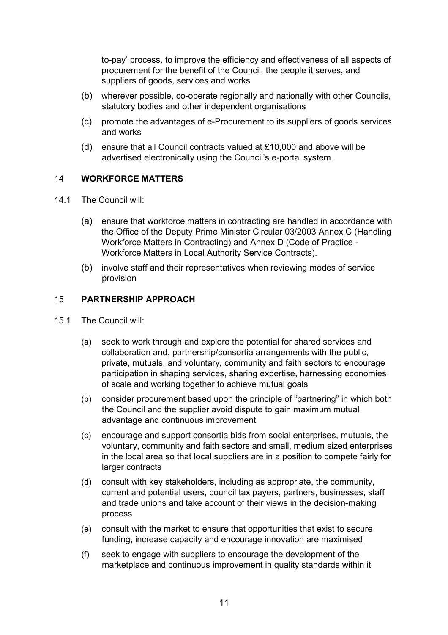to-pay' process, to improve the efficiency and effectiveness of all aspects of procurement for the benefit of the Council, the people it serves, and suppliers of goods, services and works

- (b) wherever possible, co-operate regionally and nationally with other Councils, statutory bodies and other independent organisations
- (c) promote the advantages of e-Procurement to its suppliers of goods services and works
- (d) ensure that all Council contracts valued at £10,000 and above will be advertised electronically using the Council's e-portal system.

#### 14 **WORKFORCE MATTERS**

- 14.1 The Council will:
	- (a) ensure that workforce matters in contracting are handled in accordance with the Office of the Deputy Prime Minister Circular 03/2003 Annex C (Handling Workforce Matters in Contracting) and Annex D (Code of Practice - Workforce Matters in Local Authority Service Contracts).
	- (b) involve staff and their representatives when reviewing modes of service provision

#### 15 **PARTNERSHIP APPROACH**

- 15.1 The Council will:
	- (a) seek to work through and explore the potential for shared services and collaboration and, partnership/consortia arrangements with the public, private, mutuals, and voluntary, community and faith sectors to encourage participation in shaping services, sharing expertise, harnessing economies of scale and working together to achieve mutual goals
	- (b) consider procurement based upon the principle of "partnering" in which both the Council and the supplier avoid dispute to gain maximum mutual advantage and continuous improvement
	- (c) encourage and support consortia bids from social enterprises, mutuals, the voluntary, community and faith sectors and small, medium sized enterprises in the local area so that local suppliers are in a position to compete fairly for larger contracts
	- (d) consult with key stakeholders, including as appropriate, the community, current and potential users, council tax payers, partners, businesses, staff and trade unions and take account of their views in the decision-making process
	- (e) consult with the market to ensure that opportunities that exist to secure funding, increase capacity and encourage innovation are maximised
	- (f) seek to engage with suppliers to encourage the development of the marketplace and continuous improvement in quality standards within it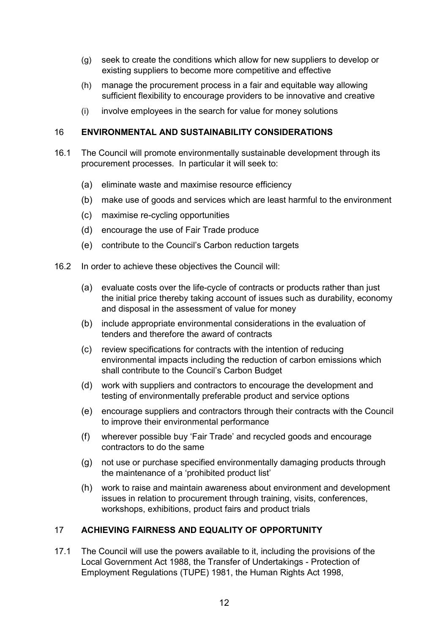- (g) seek to create the conditions which allow for new suppliers to develop or existing suppliers to become more competitive and effective
- (h) manage the procurement process in a fair and equitable way allowing sufficient flexibility to encourage providers to be innovative and creative
- (i) involve employees in the search for value for money solutions

#### 16 **ENVIRONMENTAL AND SUSTAINABILITY CONSIDERATIONS**

- 16.1 The Council will promote environmentally sustainable development through its procurement processes. In particular it will seek to:
	- (a) eliminate waste and maximise resource efficiency
	- (b) make use of goods and services which are least harmful to the environment
	- (c) maximise re-cycling opportunities
	- (d) encourage the use of Fair Trade produce
	- (e) contribute to the Council's Carbon reduction targets
- 16.2 In order to achieve these objectives the Council will:
	- (a) evaluate costs over the life-cycle of contracts or products rather than just the initial price thereby taking account of issues such as durability, economy and disposal in the assessment of value for money
	- (b) include appropriate environmental considerations in the evaluation of tenders and therefore the award of contracts
	- (c) review specifications for contracts with the intention of reducing environmental impacts including the reduction of carbon emissions which shall contribute to the Council's Carbon Budget
	- (d) work with suppliers and contractors to encourage the development and testing of environmentally preferable product and service options
	- (e) encourage suppliers and contractors through their contracts with the Council to improve their environmental performance
	- (f) wherever possible buy 'Fair Trade' and recycled goods and encourage contractors to do the same
	- (g) not use or purchase specified environmentally damaging products through the maintenance of a 'prohibited product list'
	- (h) work to raise and maintain awareness about environment and development issues in relation to procurement through training, visits, conferences, workshops, exhibitions, product fairs and product trials

#### 17 **ACHIEVING FAIRNESS AND EQUALITY OF OPPORTUNITY**

17.1 The Council will use the powers available to it, including the provisions of the Local Government Act 1988, the Transfer of Undertakings - Protection of Employment Regulations (TUPE) 1981, the Human Rights Act 1998,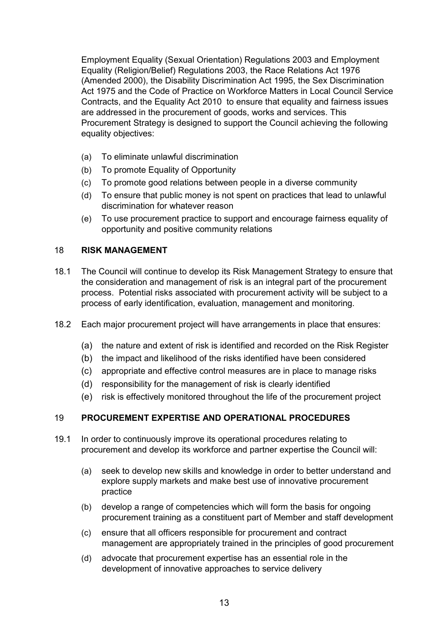Employment Equality (Sexual Orientation) Regulations 2003 and Employment Equality (Religion/Belief) Regulations 2003, the Race Relations Act 1976 (Amended 2000), the Disability Discrimination Act 1995, the Sex Discrimination Act 1975 and the Code of Practice on Workforce Matters in Local Council Service Contracts, and the Equality Act 2010 to ensure that equality and fairness issues are addressed in the procurement of goods, works and services. This Procurement Strategy is designed to support the Council achieving the following equality objectives:

- (a) To eliminate unlawful discrimination
- (b) To promote Equality of Opportunity
- (c) To promote good relations between people in a diverse community
- (d) To ensure that public money is not spent on practices that lead to unlawful discrimination for whatever reason
- (e) To use procurement practice to support and encourage fairness equality of opportunity and positive community relations

#### 18 **RISK MANAGEMENT**

- 18.1 The Council will continue to develop its Risk Management Strategy to ensure that the consideration and management of risk is an integral part of the procurement process. Potential risks associated with procurement activity will be subject to a process of early identification, evaluation, management and monitoring.
- 18.2 Each major procurement project will have arrangements in place that ensures:
	- (a) the nature and extent of risk is identified and recorded on the Risk Register
	- (b) the impact and likelihood of the risks identified have been considered
	- (c) appropriate and effective control measures are in place to manage risks
	- (d) responsibility for the management of risk is clearly identified
	- (e) risk is effectively monitored throughout the life of the procurement project

#### 19 **PROCUREMENT EXPERTISE AND OPERATIONAL PROCEDURES**

- 19.1 In order to continuously improve its operational procedures relating to procurement and develop its workforce and partner expertise the Council will:
	- (a) seek to develop new skills and knowledge in order to better understand and explore supply markets and make best use of innovative procurement practice
	- (b) develop a range of competencies which will form the basis for ongoing procurement training as a constituent part of Member and staff development
	- (c) ensure that all officers responsible for procurement and contract management are appropriately trained in the principles of good procurement
	- (d) advocate that procurement expertise has an essential role in the development of innovative approaches to service delivery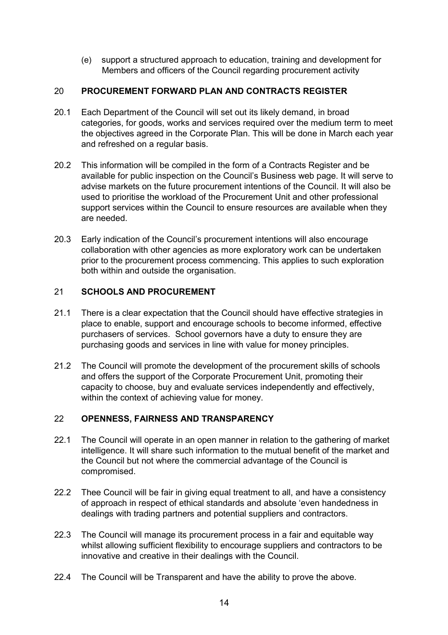(e) support a structured approach to education, training and development for Members and officers of the Council regarding procurement activity

### 20 **PROCUREMENT FORWARD PLAN AND CONTRACTS REGISTER**

- 20.1 Each Department of the Council will set out its likely demand, in broad categories, for goods, works and services required over the medium term to meet the objectives agreed in the Corporate Plan. This will be done in March each year and refreshed on a regular basis.
- 20.2 This information will be compiled in the form of a Contracts Register and be available for public inspection on the Council's Business web page. It will serve to advise markets on the future procurement intentions of the Council. It will also be used to prioritise the workload of the Procurement Unit and other professional support services within the Council to ensure resources are available when they are needed.
- 20.3 Early indication of the Council's procurement intentions will also encourage collaboration with other agencies as more exploratory work can be undertaken prior to the procurement process commencing. This applies to such exploration both within and outside the organisation.

# 21 **SCHOOLS AND PROCUREMENT**

- 21.1 There is a clear expectation that the Council should have effective strategies in place to enable, support and encourage schools to become informed, effective purchasers of services. School governors have a duty to ensure they are purchasing goods and services in line with value for money principles.
- 21.2 The Council will promote the development of the procurement skills of schools and offers the support of the Corporate Procurement Unit, promoting their capacity to choose, buy and evaluate services independently and effectively, within the context of achieving value for money.

# 22 **OPENNESS, FAIRNESS AND TRANSPARENCY**

- 22.1 The Council will operate in an open manner in relation to the gathering of market intelligence. It will share such information to the mutual benefit of the market and the Council but not where the commercial advantage of the Council is compromised.
- 22.2 Thee Council will be fair in giving equal treatment to all, and have a consistency of approach in respect of ethical standards and absolute 'even handedness in dealings with trading partners and potential suppliers and contractors.
- 22.3 The Council will manage its procurement process in a fair and equitable way whilst allowing sufficient flexibility to encourage suppliers and contractors to be innovative and creative in their dealings with the Council.
- 22.4 The Council will be Transparent and have the ability to prove the above.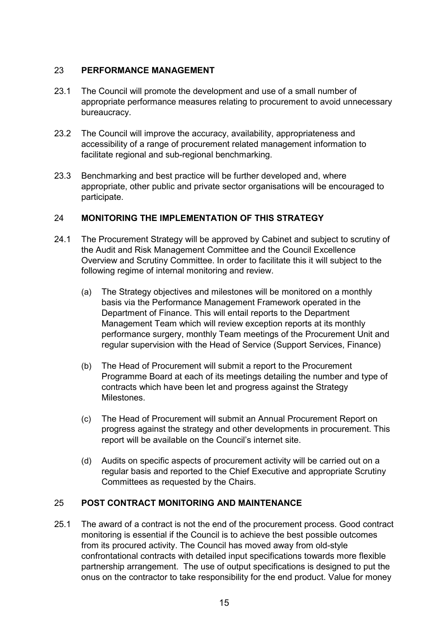#### 23 **PERFORMANCE MANAGEMENT**

- 23.1 The Council will promote the development and use of a small number of appropriate performance measures relating to procurement to avoid unnecessary bureaucracy.
- 23.2 The Council will improve the accuracy, availability, appropriateness and accessibility of a range of procurement related management information to facilitate regional and sub-regional benchmarking.
- 23.3 Benchmarking and best practice will be further developed and, where appropriate, other public and private sector organisations will be encouraged to participate.

#### 24 **MONITORING THE IMPLEMENTATION OF THIS STRATEGY**

- 24.1 The Procurement Strategy will be approved by Cabinet and subject to scrutiny of the Audit and Risk Management Committee and the Council Excellence Overview and Scrutiny Committee. In order to facilitate this it will subject to the following regime of internal monitoring and review.
	- (a) The Strategy objectives and milestones will be monitored on a monthly basis via the Performance Management Framework operated in the Department of Finance. This will entail reports to the Department Management Team which will review exception reports at its monthly performance surgery, monthly Team meetings of the Procurement Unit and regular supervision with the Head of Service (Support Services, Finance)
	- (b) The Head of Procurement will submit a report to the Procurement Programme Board at each of its meetings detailing the number and type of contracts which have been let and progress against the Strategy Milestones.
	- (c) The Head of Procurement will submit an Annual Procurement Report on progress against the strategy and other developments in procurement. This report will be available on the Council's internet site.
	- (d) Audits on specific aspects of procurement activity will be carried out on a regular basis and reported to the Chief Executive and appropriate Scrutiny Committees as requested by the Chairs.

#### 25 **POST CONTRACT MONITORING AND MAINTENANCE**

25.1 The award of a contract is not the end of the procurement process. Good contract monitoring is essential if the Council is to achieve the best possible outcomes from its procured activity. The Council has moved away from old-style confrontational contracts with detailed input specifications towards more flexible partnership arrangement. The use of output specifications is designed to put the onus on the contractor to take responsibility for the end product. Value for money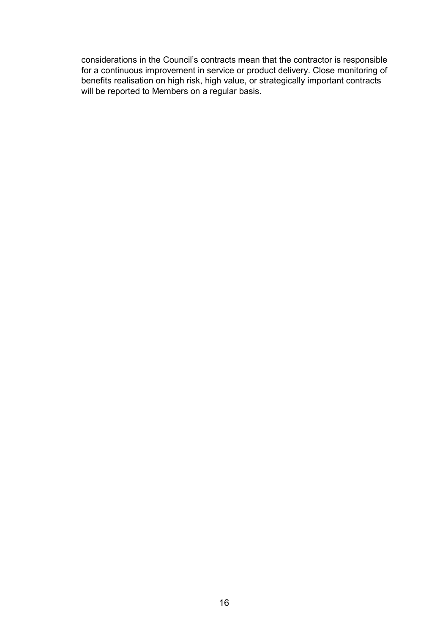considerations in the Council's contracts mean that the contractor is responsible for a continuous improvement in service or product delivery. Close monitoring of benefits realisation on high risk, high value, or strategically important contracts will be reported to Members on a regular basis.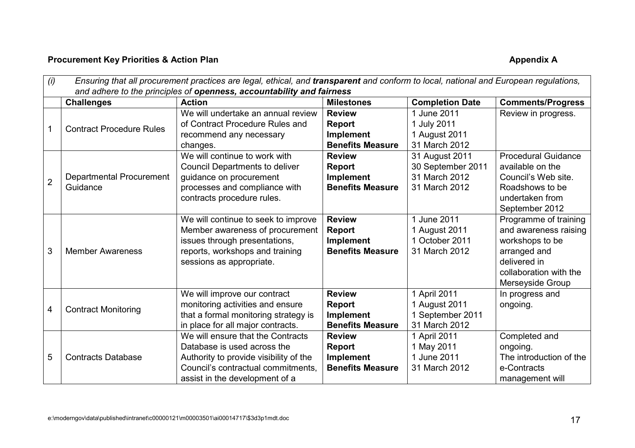# **Procurement Key Priorities & Action Plan Appendix A Appendix A Appendix A**

| (i)            | Ensuring that all procurement practices are legal, ethical, and transparent and conform to local, national and European regulations, |                                        |                         |                        |                            |  |  |  |
|----------------|--------------------------------------------------------------------------------------------------------------------------------------|----------------------------------------|-------------------------|------------------------|----------------------------|--|--|--|
|                | and adhere to the principles of openness, accountability and fairness                                                                |                                        |                         |                        |                            |  |  |  |
|                | <b>Challenges</b>                                                                                                                    | <b>Action</b>                          | <b>Milestones</b>       | <b>Completion Date</b> | <b>Comments/Progress</b>   |  |  |  |
|                |                                                                                                                                      | We will undertake an annual review     | <b>Review</b>           | 1 June 2011            | Review in progress.        |  |  |  |
|                | <b>Contract Procedure Rules</b>                                                                                                      | of Contract Procedure Rules and        | Report                  | 1 July 2011            |                            |  |  |  |
|                |                                                                                                                                      | recommend any necessary                | Implement               | 1 August 2011          |                            |  |  |  |
|                |                                                                                                                                      | changes.                               | <b>Benefits Measure</b> | 31 March 2012          |                            |  |  |  |
|                |                                                                                                                                      | We will continue to work with          | <b>Review</b>           | 31 August 2011         | <b>Procedural Guidance</b> |  |  |  |
|                |                                                                                                                                      | <b>Council Departments to deliver</b>  | Report                  | 30 September 2011      | available on the           |  |  |  |
| $\overline{2}$ | Departmental Procurement                                                                                                             | guidance on procurement                | Implement               | 31 March 2012          | Council's Web site.        |  |  |  |
|                | Guidance                                                                                                                             | processes and compliance with          | <b>Benefits Measure</b> | 31 March 2012          | Roadshows to be            |  |  |  |
|                |                                                                                                                                      | contracts procedure rules.             |                         |                        | undertaken from            |  |  |  |
|                |                                                                                                                                      |                                        |                         |                        | September 2012             |  |  |  |
|                |                                                                                                                                      | We will continue to seek to improve    | <b>Review</b>           | 1 June 2011            | Programme of training      |  |  |  |
|                |                                                                                                                                      | Member awareness of procurement        | Report                  | 1 August 2011          | and awareness raising      |  |  |  |
|                |                                                                                                                                      | issues through presentations,          | <b>Implement</b>        | 1 October 2011         | workshops to be            |  |  |  |
| 3              | <b>Member Awareness</b>                                                                                                              | reports, workshops and training        | <b>Benefits Measure</b> | 31 March 2012          | arranged and               |  |  |  |
|                |                                                                                                                                      | sessions as appropriate.               |                         |                        | delivered in               |  |  |  |
|                |                                                                                                                                      |                                        |                         |                        | collaboration with the     |  |  |  |
|                |                                                                                                                                      |                                        |                         |                        | Merseyside Group           |  |  |  |
|                |                                                                                                                                      | We will improve our contract           | <b>Review</b>           | 1 April 2011           | In progress and            |  |  |  |
| 4              | <b>Contract Monitoring</b>                                                                                                           | monitoring activities and ensure       | Report                  | 1 August 2011          | ongoing.                   |  |  |  |
|                |                                                                                                                                      | that a formal monitoring strategy is   | <b>Implement</b>        | 1 September 2011       |                            |  |  |  |
|                |                                                                                                                                      | in place for all major contracts.      | <b>Benefits Measure</b> | 31 March 2012          |                            |  |  |  |
|                |                                                                                                                                      | We will ensure that the Contracts      | <b>Review</b>           | 1 April 2011           | Completed and              |  |  |  |
|                |                                                                                                                                      | Database is used across the            | <b>Report</b>           | 1 May 2011             | ongoing.                   |  |  |  |
| 5              | <b>Contracts Database</b>                                                                                                            | Authority to provide visibility of the | Implement               | 1 June 2011            | The introduction of the    |  |  |  |
|                |                                                                                                                                      | Council's contractual commitments,     | <b>Benefits Measure</b> | 31 March 2012          | e-Contracts                |  |  |  |
|                |                                                                                                                                      | assist in the development of a         |                         |                        | management will            |  |  |  |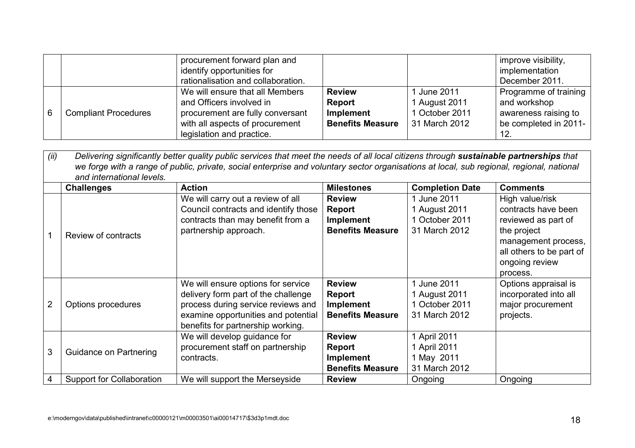|   |                             | procurement forward plan and       |                         |                | improve visibility,   |
|---|-----------------------------|------------------------------------|-------------------------|----------------|-----------------------|
|   |                             | identify opportunities for         |                         |                | implementation        |
|   |                             | rationalisation and collaboration. |                         |                | December 2011.        |
|   |                             | We will ensure that all Members    | <b>Review</b>           | 1 June 2011    | Programme of training |
|   |                             | and Officers involved in           | <b>Report</b>           | 1 August 2011  | and workshop          |
| 6 | <b>Compliant Procedures</b> | procurement are fully conversant   | Implement               | 1 October 2011 | awareness raising to  |
|   |                             | with all aspects of procurement    | <b>Benefits Measure</b> | 31 March 2012  | be completed in 2011- |
|   |                             | legislation and practice.          |                         |                |                       |

| (ii)           | Delivering significantly better quality public services that meet the needs of all local citizens through sustainable partnerships that<br>we forge with a range of public, private, social enterprise and voluntary sector organisations at local, sub regional, regional, national<br>and international levels. |                                                                                                                                                                                             |                                                                 |                                                                 |                                                                                 |  |  |  |
|----------------|-------------------------------------------------------------------------------------------------------------------------------------------------------------------------------------------------------------------------------------------------------------------------------------------------------------------|---------------------------------------------------------------------------------------------------------------------------------------------------------------------------------------------|-----------------------------------------------------------------|-----------------------------------------------------------------|---------------------------------------------------------------------------------|--|--|--|
|                | <b>Challenges</b>                                                                                                                                                                                                                                                                                                 | <b>Action</b>                                                                                                                                                                               | <b>Milestones</b>                                               | <b>Completion Date</b>                                          | <b>Comments</b>                                                                 |  |  |  |
|                |                                                                                                                                                                                                                                                                                                                   | We will carry out a review of all<br>Council contracts and identify those                                                                                                                   | <b>Review</b><br><b>Report</b>                                  | 1 June 2011<br>1 August 2011                                    | High value/risk<br>contracts have been                                          |  |  |  |
|                |                                                                                                                                                                                                                                                                                                                   | contracts than may benefit from a<br>partnership approach.                                                                                                                                  | <b>Implement</b><br><b>Benefits Measure</b>                     | 1 October 2011<br>31 March 2012                                 | reviewed as part of<br>the project                                              |  |  |  |
|                | Review of contracts                                                                                                                                                                                                                                                                                               |                                                                                                                                                                                             |                                                                 |                                                                 | management process,<br>all others to be part of<br>ongoing review<br>process.   |  |  |  |
| $\overline{2}$ | Options procedures                                                                                                                                                                                                                                                                                                | We will ensure options for service<br>delivery form part of the challenge<br>process during service reviews and<br>examine opportunities and potential<br>benefits for partnership working. | <b>Review</b><br>Report<br>Implement<br><b>Benefits Measure</b> | 1 June 2011<br>1 August 2011<br>1 October 2011<br>31 March 2012 | Options appraisal is<br>incorporated into all<br>major procurement<br>projects. |  |  |  |
| 3              | Guidance on Partnering                                                                                                                                                                                                                                                                                            | We will develop guidance for<br>procurement staff on partnership<br>contracts.                                                                                                              | <b>Review</b><br>Report<br>Implement<br><b>Benefits Measure</b> | 1 April 2011<br>1 April 2011<br>1 May 2011<br>31 March 2012     |                                                                                 |  |  |  |
| 4              | <b>Support for Collaboration</b>                                                                                                                                                                                                                                                                                  | We will support the Merseyside                                                                                                                                                              | <b>Review</b>                                                   | Ongoing                                                         | Ongoing                                                                         |  |  |  |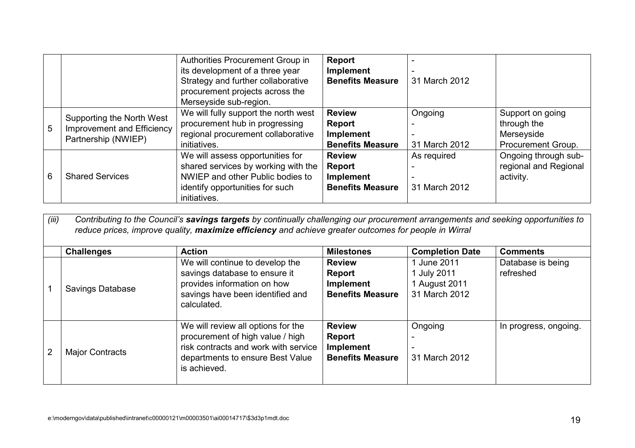|   |                                                                                | Authorities Procurement Group in<br>its development of a three year<br>Strategy and further collaborative<br>procurement projects across the<br>Merseyside sub-region. | <b>Report</b><br>Implement<br><b>Benefits Measure</b>                  | 31 March 2012                |                                                                     |
|---|--------------------------------------------------------------------------------|------------------------------------------------------------------------------------------------------------------------------------------------------------------------|------------------------------------------------------------------------|------------------------------|---------------------------------------------------------------------|
| 5 | Supporting the North West<br>Improvement and Efficiency<br>Partnership (NWIEP) | We will fully support the north west<br>procurement hub in progressing<br>regional procurement collaborative<br>initiatives.                                           | <b>Review</b><br><b>Report</b><br>Implement<br><b>Benefits Measure</b> | Ongoing<br>31 March 2012     | Support on going<br>through the<br>Merseyside<br>Procurement Group. |
| 6 | <b>Shared Services</b>                                                         | We will assess opportunities for<br>shared services by working with the<br>NWIEP and other Public bodies to<br>identify opportunities for such<br>initiatives.         | <b>Review</b><br><b>Report</b><br>Implement<br><b>Benefits Measure</b> | As required<br>31 March 2012 | Ongoing through sub-<br>regional and Regional<br>activity.          |

| (iii) | Contributing to the Council's savings targets by continually challenging our procurement arrangements and seeking opportunities to<br>reduce prices, improve quality, maximize efficiency and achieve greater outcomes for people in Wirral |                                                                                                                                                                    |                                                                        |                                                              |                                |  |  |  |
|-------|---------------------------------------------------------------------------------------------------------------------------------------------------------------------------------------------------------------------------------------------|--------------------------------------------------------------------------------------------------------------------------------------------------------------------|------------------------------------------------------------------------|--------------------------------------------------------------|--------------------------------|--|--|--|
|       | <b>Challenges</b>                                                                                                                                                                                                                           | <b>Action</b>                                                                                                                                                      | <b>Milestones</b>                                                      | <b>Completion Date</b>                                       | <b>Comments</b>                |  |  |  |
|       | Savings Database                                                                                                                                                                                                                            | We will continue to develop the<br>savings database to ensure it<br>provides information on how<br>savings have been identified and<br>calculated.                 | <b>Review</b><br>Report<br>Implement<br><b>Benefits Measure</b>        | 1 June 2011<br>1 July 2011<br>1 August 2011<br>31 March 2012 | Database is being<br>refreshed |  |  |  |
| 2     | <b>Major Contracts</b>                                                                                                                                                                                                                      | We will review all options for the<br>procurement of high value / high<br>risk contracts and work with service<br>departments to ensure Best Value<br>is achieved. | <b>Review</b><br><b>Report</b><br>Implement<br><b>Benefits Measure</b> | Ongoing<br>31 March 2012                                     | In progress, ongoing.          |  |  |  |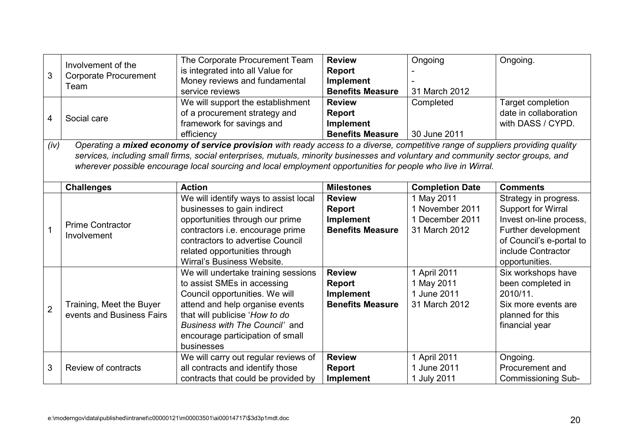|                | Involvement of the           | The Corporate Procurement Team                                                                                                   | <b>Review</b>           | Ongoing                | Ongoing.                  |
|----------------|------------------------------|----------------------------------------------------------------------------------------------------------------------------------|-------------------------|------------------------|---------------------------|
| 3              | <b>Corporate Procurement</b> | is integrated into all Value for                                                                                                 | Report                  |                        |                           |
|                | Team                         | Money reviews and fundamental                                                                                                    | Implement               |                        |                           |
|                |                              | service reviews                                                                                                                  | <b>Benefits Measure</b> | 31 March 2012          |                           |
|                |                              | We will support the establishment                                                                                                | <b>Review</b>           | Completed              | Target completion         |
| 4              | Social care                  | of a procurement strategy and                                                                                                    | Report                  |                        | date in collaboration     |
|                |                              | framework for savings and                                                                                                        | <b>Implement</b>        |                        | with DASS / CYPD.         |
|                |                              | efficiency                                                                                                                       | <b>Benefits Measure</b> | 30 June 2011           |                           |
| (iv)           |                              | Operating a mixed economy of service provision with ready access to a diverse, competitive range of suppliers providing quality  |                         |                        |                           |
|                |                              | services, including small firms, social enterprises, mutuals, minority businesses and voluntary and community sector groups, and |                         |                        |                           |
|                |                              | wherever possible encourage local sourcing and local employment opportunities for people who live in Wirral.                     |                         |                        |                           |
|                |                              |                                                                                                                                  |                         |                        |                           |
|                | <b>Challenges</b>            | <b>Action</b>                                                                                                                    | <b>Milestones</b>       | <b>Completion Date</b> | <b>Comments</b>           |
|                |                              | We will identify ways to assist local                                                                                            | <b>Review</b>           | 1 May 2011             | Strategy in progress.     |
|                |                              | businesses to gain indirect                                                                                                      | <b>Report</b>           | 1 November 2011        | <b>Support for Wirral</b> |
|                | <b>Prime Contractor</b>      | opportunities through our prime                                                                                                  | Implement               | 1 December 2011        | Invest on-line process,   |
| 1              | Involvement                  | contractors i.e. encourage prime                                                                                                 | <b>Benefits Measure</b> | 31 March 2012          | Further development       |
|                |                              | contractors to advertise Council                                                                                                 |                         |                        | of Council's e-portal to  |
|                |                              | related opportunities through                                                                                                    |                         |                        | include Contractor        |
|                |                              | Wirral's Business Website.                                                                                                       |                         |                        | opportunities.            |
|                |                              | We will undertake training sessions                                                                                              | <b>Review</b>           | 1 April 2011           | Six workshops have        |
|                |                              | to assist SMEs in accessing                                                                                                      | Report                  | 1 May 2011             | been completed in         |
|                |                              | Council opportunities. We will                                                                                                   | <b>Implement</b>        | 1 June 2011            | 2010/11.                  |
| $\overline{2}$ | Training, Meet the Buyer     | attend and help organise events                                                                                                  | <b>Benefits Measure</b> | 31 March 2012          | Six more events are       |
|                | events and Business Fairs    | that will publicise 'How to do                                                                                                   |                         |                        | planned for this          |
|                |                              | Business with The Council' and                                                                                                   |                         |                        | financial year            |
|                |                              | encourage participation of small                                                                                                 |                         |                        |                           |
|                |                              | businesses                                                                                                                       |                         |                        |                           |
|                |                              | We will carry out regular reviews of                                                                                             | <b>Review</b>           | 1 April 2011           | Ongoing.                  |
| 3              | Review of contracts          | all contracts and identify those                                                                                                 | Report                  | 1 June 2011            | Procurement and           |
|                |                              | contracts that could be provided by                                                                                              | <b>Implement</b>        | 1 July 2011            | <b>Commissioning Sub-</b> |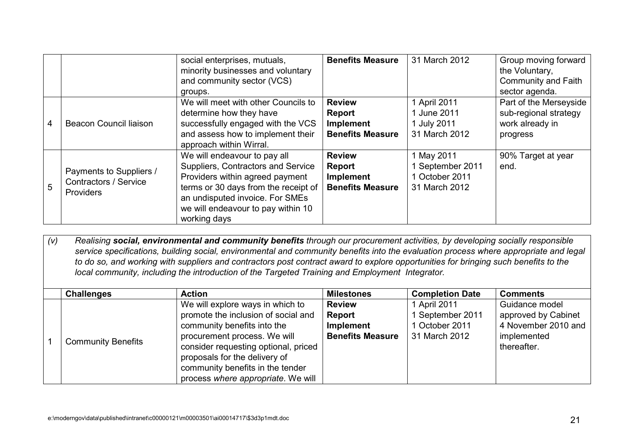|   |                         | social enterprises, mutuals,         | <b>Benefits Measure</b> | 31 March 2012    | Group moving forward       |
|---|-------------------------|--------------------------------------|-------------------------|------------------|----------------------------|
|   |                         | minority businesses and voluntary    |                         |                  | the Voluntary,             |
|   |                         | and community sector (VCS)           |                         |                  | <b>Community and Faith</b> |
|   |                         | groups.                              |                         |                  | sector agenda.             |
|   |                         | We will meet with other Councils to  | <b>Review</b>           | 1 April 2011     | Part of the Merseyside     |
|   |                         | determine how they have              | Report                  | 1 June 2011      | sub-regional strategy      |
| 4 | Beacon Council liaison  | successfully engaged with the VCS    | Implement               | 1 July 2011      | work already in            |
|   |                         | and assess how to implement their    | <b>Benefits Measure</b> | 31 March 2012    | progress                   |
|   |                         | approach within Wirral.              |                         |                  |                            |
|   |                         | We will endeavour to pay all         | <b>Review</b>           | 1 May 2011       | 90% Target at year         |
|   |                         | Suppliers, Contractors and Service   | <b>Report</b>           | 1 September 2011 | end.                       |
|   | Payments to Suppliers / | Providers within agreed payment      | Implement               | 1 October 2011   |                            |
| 5 | Contractors / Service   | terms or 30 days from the receipt of | <b>Benefits Measure</b> | 31 March 2012    |                            |
|   | <b>Providers</b>        | an undisputed invoice. For SMEs      |                         |                  |                            |
|   |                         | we will endeavour to pay within 10   |                         |                  |                            |
|   |                         | working days                         |                         |                  |                            |

*(v) Realising social, environmental and community benefits through our procurement activities, by developing socially responsible service specifications, building social, environmental and community benefits into the evaluation process where appropriate and legal to do so, and working with suppliers and contractors post contract award to explore opportunities for bringing such benefits to the local community, including the introduction of the Targeted Training and Employment Integrator.* 

| <b>Challenges</b>         | <b>Action</b>                                                                                                                                                                                                                                                                             | <b>Milestones</b>                                               | <b>Completion Date</b>                                            | <b>Comments</b>                                                                            |
|---------------------------|-------------------------------------------------------------------------------------------------------------------------------------------------------------------------------------------------------------------------------------------------------------------------------------------|-----------------------------------------------------------------|-------------------------------------------------------------------|--------------------------------------------------------------------------------------------|
| <b>Community Benefits</b> | We will explore ways in which to<br>promote the inclusion of social and<br>community benefits into the<br>procurement process. We will<br>consider requesting optional, priced<br>proposals for the delivery of<br>community benefits in the tender<br>process where appropriate. We will | <b>Review</b><br>Report<br>Implement<br><b>Benefits Measure</b> | 1 April 2011<br>September 2011<br>1 October 2011<br>31 March 2012 | Guidance model<br>approved by Cabinet<br>4 November 2010 and<br>implemented<br>thereafter. |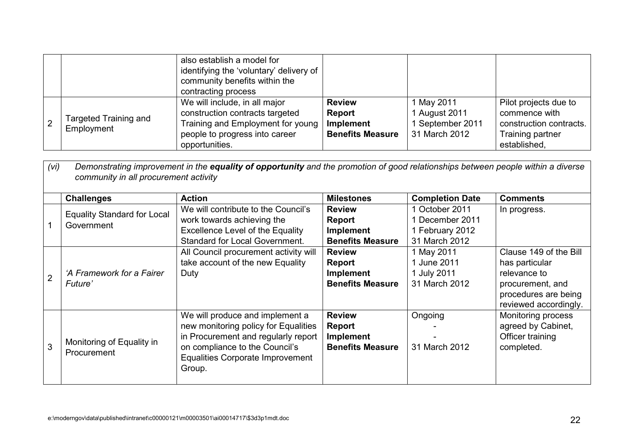|                                            | also establish a model for<br>identifying the 'voluntary' delivery of<br>community benefits within the<br>contracting process                             |                                                                        |                                                                |                                                                                                       |
|--------------------------------------------|-----------------------------------------------------------------------------------------------------------------------------------------------------------|------------------------------------------------------------------------|----------------------------------------------------------------|-------------------------------------------------------------------------------------------------------|
| <b>Targeted Training and</b><br>Employment | We will include, in all major<br>construction contracts targeted<br>Training and Employment for young<br>people to progress into career<br>opportunities. | <b>Review</b><br><b>Report</b><br>Implement<br><b>Benefits Measure</b> | 1 May 2011<br>1 August 2011<br>September 2011<br>31 March 2012 | Pilot projects due to<br>commence with<br>construction contracts.<br>Training partner<br>established. |

|                | Demonstrating improvement in the equality of opportunity and the promotion of good relationships between people within a diverse<br>(Vi)<br>community in all procurement activity |                                                                                     |                         |                        |                                               |  |  |  |
|----------------|-----------------------------------------------------------------------------------------------------------------------------------------------------------------------------------|-------------------------------------------------------------------------------------|-------------------------|------------------------|-----------------------------------------------|--|--|--|
|                | <b>Challenges</b>                                                                                                                                                                 | <b>Action</b>                                                                       | <b>Milestones</b>       | <b>Completion Date</b> | <b>Comments</b>                               |  |  |  |
|                | <b>Equality Standard for Local</b>                                                                                                                                                | We will contribute to the Council's                                                 | <b>Review</b>           | 1 October 2011         | In progress.                                  |  |  |  |
|                | Government                                                                                                                                                                        | work towards achieving the                                                          | <b>Report</b>           | 1 December 2011        |                                               |  |  |  |
|                |                                                                                                                                                                                   | <b>Excellence Level of the Equality</b>                                             | <b>Implement</b>        | 1 February 2012        |                                               |  |  |  |
|                |                                                                                                                                                                                   | <b>Standard for Local Government.</b>                                               | <b>Benefits Measure</b> | 31 March 2012          |                                               |  |  |  |
|                |                                                                                                                                                                                   | All Council procurement activity will                                               | <b>Review</b>           | 1 May 2011             | Clause 149 of the Bill                        |  |  |  |
|                |                                                                                                                                                                                   | take account of the new Equality                                                    | <b>Report</b>           | 1 June 2011            | has particular                                |  |  |  |
| $\overline{2}$ | 'A Framework for a Fairer                                                                                                                                                         | Duty                                                                                | <b>Implement</b>        | 1 July 2011            | relevance to                                  |  |  |  |
|                | Future'                                                                                                                                                                           |                                                                                     | <b>Benefits Measure</b> | 31 March 2012          | procurement, and                              |  |  |  |
|                |                                                                                                                                                                                   |                                                                                     |                         |                        | procedures are being<br>reviewed accordingly. |  |  |  |
|                |                                                                                                                                                                                   | We will produce and implement a                                                     | <b>Review</b>           | Ongoing                | Monitoring process                            |  |  |  |
|                |                                                                                                                                                                                   | new monitoring policy for Equalities                                                | <b>Report</b>           |                        | agreed by Cabinet,                            |  |  |  |
|                |                                                                                                                                                                                   | in Procurement and regularly report                                                 | <b>Implement</b>        |                        | Officer training                              |  |  |  |
| 3              | Monitoring of Equality in<br>Procurement                                                                                                                                          | on compliance to the Council's<br><b>Equalities Corporate Improvement</b><br>Group. | <b>Benefits Measure</b> | 31 March 2012          | completed.                                    |  |  |  |
|                |                                                                                                                                                                                   |                                                                                     |                         |                        |                                               |  |  |  |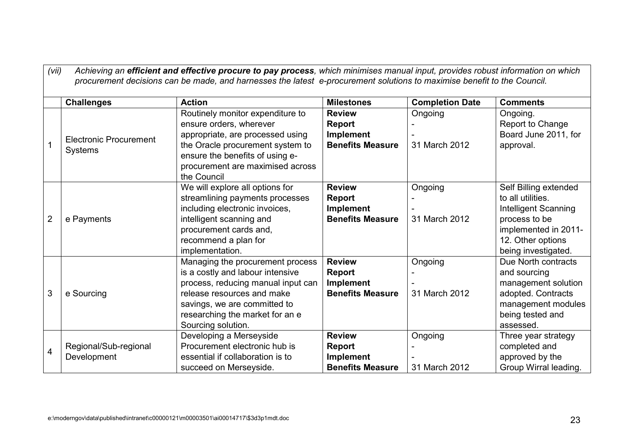|                | Achieving an efficient and effective procure to pay process, which minimises manual input, provides robust information on which<br>(vii)<br>procurement decisions can be made, and harnesses the latest e-procurement solutions to maximise benefit to the Council. |                                                                                                                                                                                                                                   |                                                                               |                          |                                                                                                                                                         |  |  |  |
|----------------|---------------------------------------------------------------------------------------------------------------------------------------------------------------------------------------------------------------------------------------------------------------------|-----------------------------------------------------------------------------------------------------------------------------------------------------------------------------------------------------------------------------------|-------------------------------------------------------------------------------|--------------------------|---------------------------------------------------------------------------------------------------------------------------------------------------------|--|--|--|
|                | <b>Challenges</b>                                                                                                                                                                                                                                                   | <b>Action</b>                                                                                                                                                                                                                     | <b>Milestones</b>                                                             | <b>Completion Date</b>   | <b>Comments</b>                                                                                                                                         |  |  |  |
|                | <b>Electronic Procurement</b><br><b>Systems</b>                                                                                                                                                                                                                     | Routinely monitor expenditure to<br>ensure orders, wherever<br>appropriate, are processed using<br>the Oracle procurement system to<br>ensure the benefits of using e-<br>procurement are maximised across<br>the Council         | <b>Review</b><br><b>Report</b><br>Implement<br><b>Benefits Measure</b>        | Ongoing<br>31 March 2012 | Ongoing.<br>Report to Change<br>Board June 2011, for<br>approval.                                                                                       |  |  |  |
| $\overline{2}$ | e Payments                                                                                                                                                                                                                                                          | We will explore all options for<br>streamlining payments processes<br>including electronic invoices,<br>intelligent scanning and<br>procurement cards and,<br>recommend a plan for<br>implementation.                             | <b>Review</b><br><b>Report</b><br>Implement<br><b>Benefits Measure</b>        | Ongoing<br>31 March 2012 | Self Billing extended<br>to all utilities.<br>Intelligent Scanning<br>process to be<br>implemented in 2011-<br>12. Other options<br>being investigated. |  |  |  |
| 3              | e Sourcing                                                                                                                                                                                                                                                          | Managing the procurement process<br>is a costly and labour intensive<br>process, reducing manual input can<br>release resources and make<br>savings, we are committed to<br>researching the market for an e<br>Sourcing solution. | <b>Review</b><br><b>Report</b><br>Implement<br><b>Benefits Measure</b>        | Ongoing<br>31 March 2012 | Due North contracts<br>and sourcing<br>management solution<br>adopted. Contracts<br>management modules<br>being tested and<br>assessed.                 |  |  |  |
| 4              | Regional/Sub-regional<br>Development                                                                                                                                                                                                                                | Developing a Merseyside<br>Procurement electronic hub is<br>essential if collaboration is to<br>succeed on Merseyside.                                                                                                            | <b>Review</b><br><b>Report</b><br><b>Implement</b><br><b>Benefits Measure</b> | Ongoing<br>31 March 2012 | Three year strategy<br>completed and<br>approved by the<br>Group Wirral leading.                                                                        |  |  |  |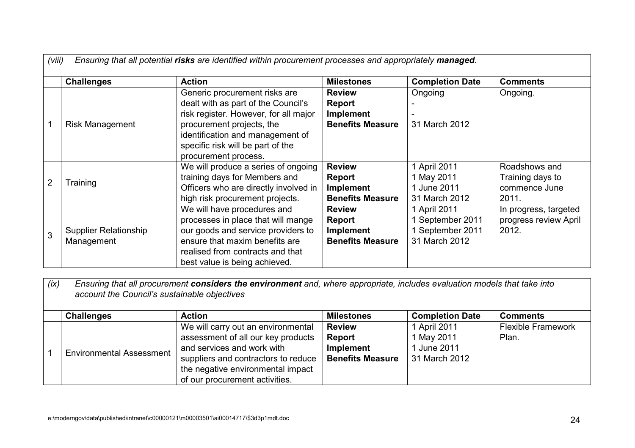|   | (viii)<br>Ensuring that all potential risks are identified within procurement processes and appropriately managed. |                                                                                                                                                                                                                                             |                                                                        |                                                                       |                                                             |  |  |  |
|---|--------------------------------------------------------------------------------------------------------------------|---------------------------------------------------------------------------------------------------------------------------------------------------------------------------------------------------------------------------------------------|------------------------------------------------------------------------|-----------------------------------------------------------------------|-------------------------------------------------------------|--|--|--|
|   | <b>Challenges</b>                                                                                                  | <b>Action</b>                                                                                                                                                                                                                               | <b>Milestones</b>                                                      | <b>Completion Date</b>                                                | <b>Comments</b>                                             |  |  |  |
|   | <b>Risk Management</b>                                                                                             | Generic procurement risks are<br>dealt with as part of the Council's<br>risk register. However, for all major<br>procurement projects, the<br>identification and management of<br>specific risk will be part of the<br>procurement process. | <b>Review</b><br><b>Report</b><br>Implement<br><b>Benefits Measure</b> | Ongoing<br>31 March 2012                                              | Ongoing.                                                    |  |  |  |
| 2 | Training                                                                                                           | We will produce a series of ongoing<br>training days for Members and<br>Officers who are directly involved in<br>high risk procurement projects.                                                                                            | <b>Review</b><br>Report<br><b>Implement</b><br><b>Benefits Measure</b> | 1 April 2011<br>1 May 2011<br>1 June 2011<br>31 March 2012            | Roadshows and<br>Training days to<br>commence June<br>2011. |  |  |  |
| 3 | <b>Supplier Relationship</b><br>Management                                                                         | We will have procedures and<br>processes in place that will mange<br>our goods and service providers to<br>ensure that maxim benefits are<br>realised from contracts and that<br>best value is being achieved.                              | <b>Review</b><br><b>Report</b><br>Implement<br><b>Benefits Measure</b> | 1 April 2011<br>1 September 2011<br>1 September 2011<br>31 March 2012 | In progress, targeted<br>progress review April<br>2012.     |  |  |  |

*(ix) Ensuring that all procurement considers the environment and, where appropriate, includes evaluation models that take into account the Council's sustainable objectives* 

| <b>Challenges</b>               | <b>Action</b>                                                                                                                                                                                                        | <b>Milestones</b>                                               | <b>Completion Date</b>                                     | <b>Comments</b>                    |
|---------------------------------|----------------------------------------------------------------------------------------------------------------------------------------------------------------------------------------------------------------------|-----------------------------------------------------------------|------------------------------------------------------------|------------------------------------|
| <b>Environmental Assessment</b> | We will carry out an environmental<br>assessment of all our key products<br>and services and work with<br>suppliers and contractors to reduce<br>the negative environmental impact<br>of our procurement activities. | <b>Review</b><br>Report<br>Implement<br><b>Benefits Measure</b> | 1 April 2011<br>1 May 2011<br>1 June 2011<br>31 March 2012 | <b>Flexible Framework</b><br>Plan. |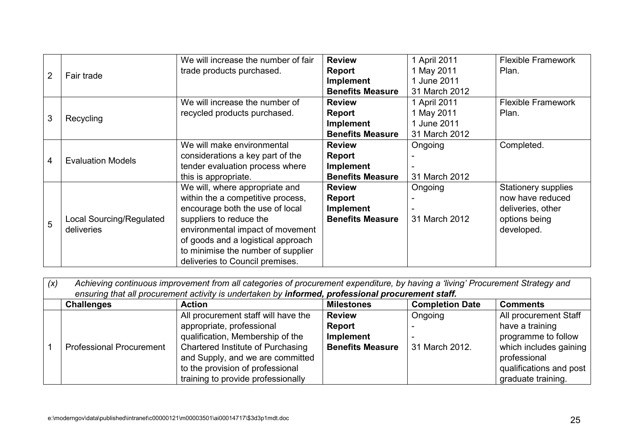|                |                                 | We will increase the number of fair | <b>Review</b>           | 1 April 2011  | <b>Flexible Framework</b> |
|----------------|---------------------------------|-------------------------------------|-------------------------|---------------|---------------------------|
| $\overline{2}$ | Fair trade                      | trade products purchased.           | Report                  | 1 May 2011    | Plan.                     |
|                |                                 |                                     | Implement               | 1 June 2011   |                           |
|                |                                 |                                     | <b>Benefits Measure</b> | 31 March 2012 |                           |
| 3              | Recycling                       | We will increase the number of      | <b>Review</b>           | 1 April 2011  | <b>Flexible Framework</b> |
|                |                                 | recycled products purchased.        | Report                  | 1 May 2011    | Plan.                     |
|                |                                 |                                     | <b>Implement</b>        | 1 June 2011   |                           |
|                |                                 |                                     | <b>Benefits Measure</b> | 31 March 2012 |                           |
|                | <b>Evaluation Models</b>        | We will make environmental          | <b>Review</b>           | Ongoing       | Completed.                |
|                |                                 | considerations a key part of the    | <b>Report</b>           |               |                           |
| 4              |                                 | tender evaluation process where     | <b>Implement</b>        |               |                           |
|                |                                 | this is appropriate.                | <b>Benefits Measure</b> | 31 March 2012 |                           |
|                |                                 | We will, where appropriate and      | <b>Review</b>           | Ongoing       | Stationery supplies       |
|                |                                 | within the a competitive process,   | <b>Report</b>           |               | now have reduced          |
|                |                                 | encourage both the use of local     | <b>Implement</b>        |               | deliveries, other         |
| 5              | <b>Local Sourcing/Regulated</b> | suppliers to reduce the             | <b>Benefits Measure</b> | 31 March 2012 | options being             |
|                | deliveries                      | environmental impact of movement    |                         |               | developed.                |
|                |                                 | of goods and a logistical approach  |                         |               |                           |
|                |                                 | to minimise the number of supplier  |                         |               |                           |
|                |                                 | deliveries to Council premises.     |                         |               |                           |

| (x) | Achieving continuous improvement from all categories of procurement expenditure, by having a 'living' Procurement Strategy and |                                                                                                                                                                                                                                                         |                                                                        |                           |                                                                                                                                                            |  |  |
|-----|--------------------------------------------------------------------------------------------------------------------------------|---------------------------------------------------------------------------------------------------------------------------------------------------------------------------------------------------------------------------------------------------------|------------------------------------------------------------------------|---------------------------|------------------------------------------------------------------------------------------------------------------------------------------------------------|--|--|
|     | ensuring that all procurement activity is undertaken by informed, professional procurement staff.                              |                                                                                                                                                                                                                                                         |                                                                        |                           |                                                                                                                                                            |  |  |
|     | <b>Challenges</b>                                                                                                              | <b>Action</b>                                                                                                                                                                                                                                           | <b>Milestones</b>                                                      | <b>Completion Date</b>    | <b>Comments</b>                                                                                                                                            |  |  |
|     | <b>Professional Procurement</b>                                                                                                | All procurement staff will have the<br>appropriate, professional<br>qualification, Membership of the<br>Chartered Institute of Purchasing<br>and Supply, and we are committed<br>to the provision of professional<br>training to provide professionally | <b>Review</b><br><b>Report</b><br>Implement<br><b>Benefits Measure</b> | Ongoing<br>31 March 2012. | All procurement Staff<br>have a training<br>programme to follow<br>which includes gaining<br>professional<br>qualifications and post<br>graduate training. |  |  |